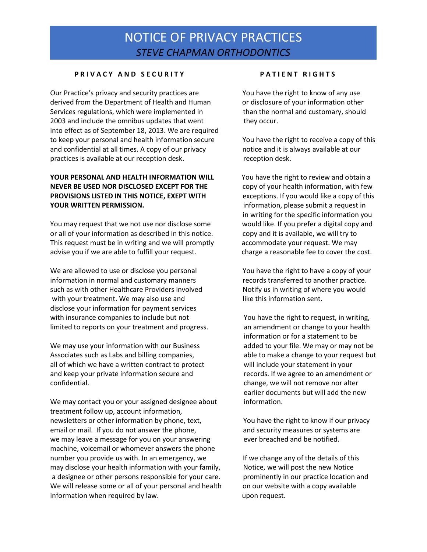## NOTICE OF PRIVACY PRACTICES *STEVE CHAPMAN ORTHODONTICS*

#### **P R I V A C Y A N D S E C U R I T Y P A T I E N T R I G H T S**

Our Practice's privacy and security practices are You have the right to know of any use derived from the Department of Health and Human or disclosure of your information other Services regulations, which were implemented in than the normal and customary, should 2003 and include the omnibus updates that went they occur. into effect as of September 18, 2013. We are required to keep your personal and health information secure You have the right to receive a copy of this and confidential at all times. A copy of our privacy notice and it is always available at our practices is available at our reception desk. The reception desk.

#### **YOUR PERSONAL AND HEALTH INFORMATION WILL** You have the right to review and obtain a **NEVER BE USED NOR DISCLOSED EXCEPT FOR THE** copy of your health information, with few **PROVISIONS LISTED IN THIS NOTICE, EXEPT WITH** exceptions. If you would like a copy of this **YOUR WRITTEN PERMISSION. information, please submit a request in**

You may request that we not use nor disclose some would like. If you prefer a digital copy and or all of your information as described in this notice. copy and it is available, we will try to This request must be in writing and we will promptly accommodate your request. We may advise you if we are able to fulfill your request. charge a reasonable fee to cover the cost.

We are allowed to use or disclose you personal You have the right to have a copy of your information in normal and customary manners records transferred to another practice. such as with other Healthcare Providers involved Notify us in writing of where you would with your treatment. We may also use and like this information sent. disclose your information for payment services with insurance companies to include but not You have the right to request, in writing, limited to reports on your treatment and progress. an amendment or change to your health

We may use your information with our Business and added to your file. We may or may not be Associates such as Labs and billing companies, and able to make a change to your request but all of which we have a written contract to protect will include your statement in your and keep your private information secure and records. If we agree to an amendment or confidential. change, we will not remove nor alter

We may contact you or your assigned designee about information. treatment follow up, account information, newsletters or other information by phone, text, You have the right to know if our privacy email or mail. If you do not answer the phone, and security measures or systems are we may leave a message for you on your answering ever breached and be notified. machine, voicemail or whomever answers the phone number you provide us with. In an emergency, we If we change any of the details of this may disclose your health information with your family, Notice, we will post the new Notice a designee or other persons responsible for your care. prominently in our practice location and We will release some or all of your personal and health on our website with a copy available information when required by law. The manufacture of the upon request.

in writing for the specific information you

information or for a statement to be earlier documents but will add the new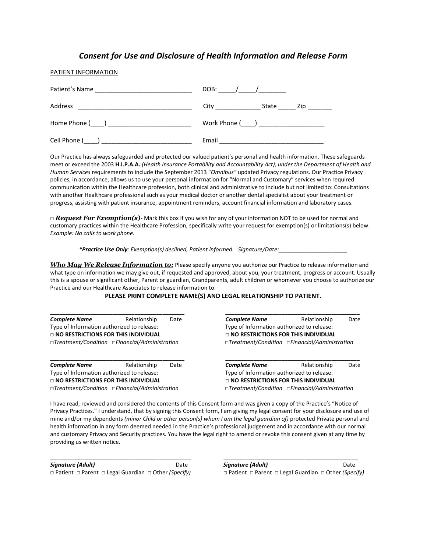#### *Consent for Use and Disclosure of Health Information and Release Form*

#### PATIENT INFORMATION

| Patient's Name                                                                                                                                                                                                                                  | DOB:                                                                                                                                                                                                                           | $\overline{1}$ |     |
|-------------------------------------------------------------------------------------------------------------------------------------------------------------------------------------------------------------------------------------------------|--------------------------------------------------------------------------------------------------------------------------------------------------------------------------------------------------------------------------------|----------------|-----|
| Address<br><u>and the state of the state of the state of the state of the state of the state of the state of the state of the state of the state of the state of the state of the state of the state of the state of the state of the state</u> | City the contract of the contract of the contract of the contract of the contract of the contract of the contract of the contract of the contract of the contract of the contract of the contract of the contract of the contr | State          | Zip |
|                                                                                                                                                                                                                                                 | Work Phone (____) ______________________                                                                                                                                                                                       |                |     |
| Cell Phone (                                                                                                                                                                                                                                    | Email                                                                                                                                                                                                                          |                |     |

Our Practice has always safeguarded and protected our valued patient's personal and health information. These safeguards meet or exceed the 2003 **H.I.P.A.A.** *(Health Insurance Portability and Accountability Act), under the Department of Health and Human Services* requirements to include the September 2013 "*Omnibus"* updated Privacy regulations. Our Practice Privacy policies, in accordance, allows us to use your personal information for "Normal and Customary" services when required communication within the Healthcare profession, both clinical and administrative to include but not limited to: Consultations with another Healthcare professional such as your medical doctor or another dental specialist about your treatment or progress, assisting with patient insurance, appointment reminders, account financial information and laboratory cases.

*□ Request For Exemption(s)*- Mark this box if you wish for any of your information NOT to be used for normal and customary practices within the Healthcare Profession, specifically write your request for exemption(s) or limitations(s) below. *Example: No calls to work phone.* 

*\*Practice Use Only: Exemption(s) declined, Patient informed. Signature/Date:\_\_\_\_\_\_\_\_\_\_\_\_\_\_\_\_\_\_\_\_\_\_*

*Who May We Release Information to:* Please specify anyone you authorize our Practice to release information and what type on information we may give out, if requested and approved, about you, your treatment, progress or account. Usually this is a spouse or significant other, Parent or guardian, Grandparents, adult children or whomever you choose to authorize our Practice and our Healthcare Associates to release information to.

#### **PLEASE PRINT COMPLETE NAME(S) AND LEGAL RELATIONSHIP TO PATIENT.**

| <b>Complete Name</b>                                                                                       | Relationship | Date                                                       | <b>Complete Name</b>                                                                                       | Relationship | Date |  |  |
|------------------------------------------------------------------------------------------------------------|--------------|------------------------------------------------------------|------------------------------------------------------------------------------------------------------------|--------------|------|--|--|
| Type of Information authorized to release:                                                                 |              |                                                            | Type of Information authorized to release:                                                                 |              |      |  |  |
| □ NO RESTRICTIONS FOR THIS INDIVIDUAL                                                                      |              |                                                            | $\sqcap$ NO RESTRICTIONS FOR THIS INDIVIDUAL                                                               |              |      |  |  |
| $\Box$ Treatment/Condition $\Box$ Financial/Administration                                                 |              | $\Box$ Treatment/Condition $\Box$ Financial/Administration |                                                                                                            |              |      |  |  |
|                                                                                                            |              |                                                            |                                                                                                            |              |      |  |  |
| <b>Complete Name</b>                                                                                       | Relationship | Date                                                       | <b>Complete Name</b>                                                                                       | Relationship | Date |  |  |
| Type of Information authorized to release:                                                                 |              |                                                            | Type of Information authorized to release:                                                                 |              |      |  |  |
| $\sqcap$ NO RESTRICTIONS FOR THIS INDIVIDUAL<br>$\Box$ Treatment/Condition $\Box$ Financial/Administration |              |                                                            | $\sqcap$ NO RESTRICTIONS FOR THIS INDIVIDUAL<br>$\Box$ Treatment/Condition $\Box$ Financial/Administration |              |      |  |  |
|                                                                                                            |              |                                                            |                                                                                                            |              |      |  |  |

I have read, reviewed and considered the contents of this Consent form and was given a copy of the Practice's "Notice of Privacy Practices." I understand, that by signing this Consent form, I am giving my legal consent for your disclosure and use of mine and/or my dependents *(minor Child or other person(s) whom I am the legal guardian of)* protected Private personal and health information in any form deemed needed in the Practice's professional judgement and in accordance with our normal and customary Privacy and Security practices. You have the legal right to amend or revoke this consent given at any time by providing us written notice.

\_\_\_\_\_\_\_\_\_\_\_\_\_\_\_\_\_\_\_\_\_\_\_\_\_\_\_\_\_\_\_\_\_\_\_\_\_\_\_\_\_\_\_\_\_ \_\_\_\_\_\_\_\_\_\_\_\_\_\_\_\_\_\_\_\_\_\_\_\_\_\_\_\_\_\_\_\_\_\_\_\_\_\_\_\_\_\_\_ *□* Patient *□* Parent *□* Legal Guardian *□* Other *(Specify) □* Patient *□* Parent *□* Legal Guardian *□* Other *(Specify)*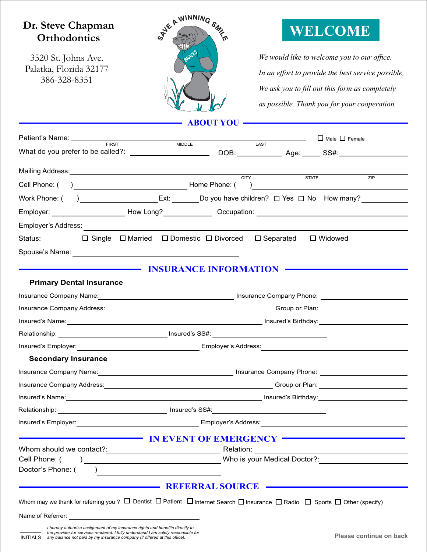### **Dr. Steve Chapman Orthodontics**

3520 St. Johns Ave. Palatka, Florida 32177 386-328-8351



# **WELCOME**

We would like to welcome you to our office. *In an effort to provide the best service possible,* We ask you to fill out this form as completely *as possible. Thank you for your cooperation.*

**ABOUT YOU**

| Patient's Name:  FIRST                                                                                                                                                                                                                                    |                                                                               |              | $\Box$ Male $\Box$ Female                                      |
|-----------------------------------------------------------------------------------------------------------------------------------------------------------------------------------------------------------------------------------------------------------|-------------------------------------------------------------------------------|--------------|----------------------------------------------------------------|
|                                                                                                                                                                                                                                                           | <b>MIDDLE</b><br>LAST                                                         |              |                                                                |
|                                                                                                                                                                                                                                                           | <b>CITY</b>                                                                   | <b>STATE</b> | ZIP                                                            |
|                                                                                                                                                                                                                                                           |                                                                               |              | ) and the contract of the contract of $\overline{\phantom{a}}$ |
| Work Phone: ( ) ___________________Ext: _______Do you have children? □ Yes □ No How many?                                                                                                                                                                 |                                                                               |              |                                                                |
|                                                                                                                                                                                                                                                           |                                                                               |              |                                                                |
|                                                                                                                                                                                                                                                           |                                                                               |              |                                                                |
| Status: <b>Status</b> :                                                                                                                                                                                                                                   | $\Box$ Single $\Box$ Married $\Box$ Domestic $\Box$ Divorced $\Box$ Separated |              | $\Box$ Widowed                                                 |
|                                                                                                                                                                                                                                                           |                                                                               |              |                                                                |
|                                                                                                                                                                                                                                                           | <b>INSURANCE INFORMATION</b>                                                  |              |                                                                |
| <b>Primary Dental Insurance</b>                                                                                                                                                                                                                           |                                                                               |              |                                                                |
| Insurance Company Name: Mannell Company Company Phone: Mannell Company Phone: Mannell Company Phone: Mannell Company Phone: 2004                                                                                                                          |                                                                               |              |                                                                |
| Insurance Company Address: No. 2016. The Company Address: No. 2016. The Company Address: No. 2016. The Company Address: No. 2016. The Company Address: No. 2016. The Company Address: No. 2016. The Company Address: No. 2016.                            |                                                                               |              |                                                                |
|                                                                                                                                                                                                                                                           |                                                                               |              |                                                                |
|                                                                                                                                                                                                                                                           |                                                                               |              |                                                                |
|                                                                                                                                                                                                                                                           |                                                                               |              |                                                                |
| <b>Secondary Insurance</b>                                                                                                                                                                                                                                |                                                                               |              |                                                                |
| Insurance Company Name: Mannel All Company Phone: Mannel All Company Phone: Mannel All Company Phone: Mannel Al                                                                                                                                           |                                                                               |              |                                                                |
| Insurance Company Address: Manual Company Address: No. 1997. The Company of Planet Company Address: No. 1997.                                                                                                                                             |                                                                               |              |                                                                |
|                                                                                                                                                                                                                                                           |                                                                               |              |                                                                |
|                                                                                                                                                                                                                                                           |                                                                               |              |                                                                |
| Insured's Employer: <u>contract the contract of the contract of the contract of the contract of the contract of the contract of the contract of the contract of the contract of the contract of the contract of the contract of </u>                      |                                                                               |              |                                                                |
|                                                                                                                                                                                                                                                           | IN EVENT OF EMERGENCY                                                         |              |                                                                |
|                                                                                                                                                                                                                                                           |                                                                               |              |                                                                |
| Cell Phone: (                                                                                                                                                                                                                                             |                                                                               |              |                                                                |
| Doctor's Phone: (<br><u>and the state of the state of the state of the state of the state of the state of the state of the state of the state of the state of the state of the state of the state of the state of the state of the state of the state</u> |                                                                               |              |                                                                |
|                                                                                                                                                                                                                                                           | <b>REFERRAL SOURCE</b>                                                        |              |                                                                |
| Whom may we thank for referring you? $\Box$ Dentist $\Box$ Patient $\Box$ Internet Search $\Box$ Insurance $\Box$ Radio $\Box$ Sports $\Box$ Other (specify)                                                                                              |                                                                               |              |                                                                |
|                                                                                                                                                                                                                                                           |                                                                               |              |                                                                |
|                                                                                                                                                                                                                                                           |                                                                               |              |                                                                |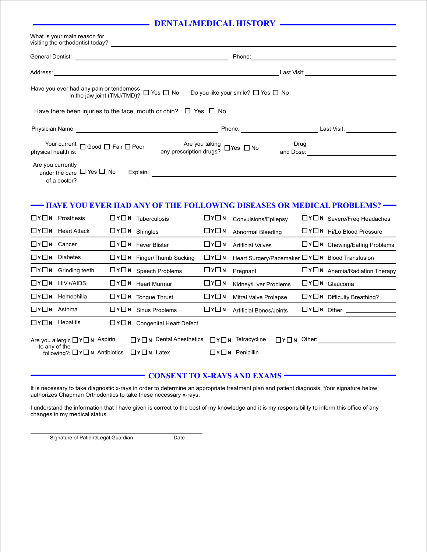### **DENTAL/MEDICAL HISTORY**

| What is your main reason for<br>visiting the orthodontist today?<br><u> 1980 - John Stein, Amerikaansk politiker (</u>                                                                                            |                                                                                                                                      |  |                                                                           |                   |                                                |  |                                                                                                                                                                                                                               |
|-------------------------------------------------------------------------------------------------------------------------------------------------------------------------------------------------------------------|--------------------------------------------------------------------------------------------------------------------------------------|--|---------------------------------------------------------------------------|-------------------|------------------------------------------------|--|-------------------------------------------------------------------------------------------------------------------------------------------------------------------------------------------------------------------------------|
|                                                                                                                                                                                                                   |                                                                                                                                      |  |                                                                           |                   |                                                |  |                                                                                                                                                                                                                               |
|                                                                                                                                                                                                                   |                                                                                                                                      |  |                                                                           |                   |                                                |  | Last Visit: with the contract of the contract of the contract of the contract of the contract of the contract of the contract of the contract of the contract of the contract of the contract of the contract of the contract |
|                                                                                                                                                                                                                   | Have you ever had any pain or tenderness<br>in the jaw joint $(TMJ/TMD)?$ $\Box$ Yes $\Box$ No<br>Do you like your smile? □ Yes □ No |  |                                                                           |                   |                                                |  |                                                                                                                                                                                                                               |
|                                                                                                                                                                                                                   |                                                                                                                                      |  | Have there been injuries to the face, mouth or chin? $\Box$ Yes $\Box$ No |                   |                                                |  |                                                                                                                                                                                                                               |
|                                                                                                                                                                                                                   |                                                                                                                                      |  |                                                                           |                   |                                                |  | Physician Name: Last Visit: Last Visit: Last Visit: Last Visit: Last Visit: Last Visit: Last Visit: Last Visit                                                                                                                |
| Are you taking<br>any prescription drugs? $\Box$ Yes $\Box$ No<br>Drug<br>Your current $\Box$ Good $\Box$ Fair $\Box$ Poor<br>physical health is:                                                                 |                                                                                                                                      |  |                                                                           |                   |                                                |  |                                                                                                                                                                                                                               |
| Are you currently<br>under the care $\Box$ Yes $\Box$ No                                                                                                                                                          |                                                                                                                                      |  |                                                                           |                   |                                                |  |                                                                                                                                                                                                                               |
|                                                                                                                                                                                                                   | of a doctor?                                                                                                                         |  |                                                                           |                   |                                                |  |                                                                                                                                                                                                                               |
| —— HAVE YOU EVER HAD ANY OF THE FOLLOWING DISEASES OR MEDICAL PROBLEMS? ——                                                                                                                                        |                                                                                                                                      |  |                                                                           |                   |                                                |  |                                                                                                                                                                                                                               |
|                                                                                                                                                                                                                   | $\Box Y \Box N$ Prosthesis                                                                                                           |  | $\Box$ Y $\Box$ N Tuberculosis                                            | $\Box Y \Box N$   | Convulsions/Epilepsy                           |  | $\Box$ Y $\Box$ N Severe/Freq Headaches                                                                                                                                                                                       |
|                                                                                                                                                                                                                   | $\Box Y \Box N$ Heart Attack                                                                                                         |  | □Y□N Shingles                                                             | $\Box$ Y $\Box$ N | Abnormal Bleeding                              |  | □Y□N Hi/Lo Blood Pressure                                                                                                                                                                                                     |
| $\Box$ Y $\Box$ N Cancer                                                                                                                                                                                          |                                                                                                                                      |  | $\Box Y \Box N$ Fever Blister                                             | $\Box Y \Box N$   | <b>Artificial Valves</b>                       |  | $\Box Y \Box N$ Chewing/Eating Problems                                                                                                                                                                                       |
|                                                                                                                                                                                                                   | $\Box Y \Box N$ Diabetes                                                                                                             |  | □Y□N Finger/Thumb Sucking                                                 | $\Box$ Y $\Box$ N | Heart Surgery/Pacemaker DYON Blood Transfusion |  |                                                                                                                                                                                                                               |
|                                                                                                                                                                                                                   | $\Box Y \Box N$ Grinding teeth                                                                                                       |  | $\Box$ Y $\Box$ N Speech Problems                                         | $\Box$ Y $\Box$ N | Pregnant                                       |  | $\Box$ Y $\Box$ N Anemia/Radiation Therapy                                                                                                                                                                                    |
|                                                                                                                                                                                                                   | $\Box$ Y $\Box$ N HIV+/AIDS                                                                                                          |  | □Y□N Heart Murmur                                                         | $\Box Y \Box N$   | Kidney/Liver Problems                          |  | $\Box$ Y $\Box$ N Glaucoma                                                                                                                                                                                                    |
|                                                                                                                                                                                                                   | $\Box Y \Box N$ Hemophilia                                                                                                           |  | $\Box Y \Box N$ Tongue Thrust                                             | $\Box$ Y $\Box$ N | Mitral Valve Prolapse                          |  | $\Box$ Y $\Box$ N Difficulty Breathing?                                                                                                                                                                                       |
| $\Box$ Y $\Box$ N Asthma                                                                                                                                                                                          |                                                                                                                                      |  | $\Box Y \Box N$ Sinus Problems                                            | $\Box Y \Box N$   | <b>Artificial Bones/Joints</b>                 |  | $\Box$ Y $\Box$ N Other: $\_\_\_\_\_\_\_\_\_\_\_\_\_\_$                                                                                                                                                                       |
|                                                                                                                                                                                                                   | $\Box Y \Box N$ Hepatitis                                                                                                            |  | □Y□N Congenital Heart Defect                                              |                   |                                                |  |                                                                                                                                                                                                                               |
| □Y□N Dental Anesthetics □Y□N Tetracycline<br>$\Box$ Y $\Box$ N Other:<br>Are you allergic $\Box$ Y $\Box$ N Aspirin<br>to any of the<br>following?: □ Y□ N Antibiotics □ Y□ N Latex<br>$\Box Y \Box N$ Penicillin |                                                                                                                                      |  |                                                                           |                   |                                                |  |                                                                                                                                                                                                                               |

#### **CONSENT TO X-RAYS AND EXAMS -**

It is necessary to take diagnostic x-rays in order to determine an appropriate treatment plan and patient diagnosis. Your signature below authorizes Chapman Orthodontics to take these necessary x-rays.

I understand the information that I have given is correct to the best of my knowledge and it is my responsibility to inform this office of any changes in my medical status.

Signature of Patient/Legal Guardian Date